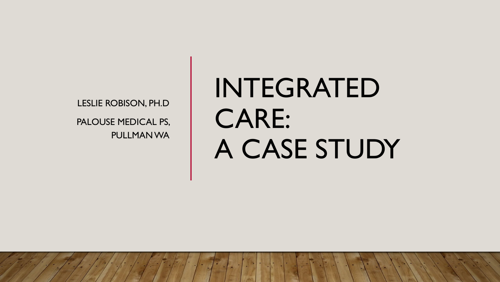LESLIE ROBISON, PH.D PALOUSE MEDICAL PS, PULLMAN WA

# INTEGRATED CARE: A CASE STUDY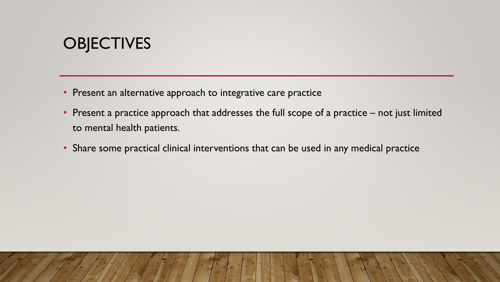## **OBJECTIVES**

- Present an alternative approach to integrative care practice
- Present a practice approach that addresses the full scope of a practice not just limited to mental health patients.
- Share some practical clinical interventions that can be used in any medical practice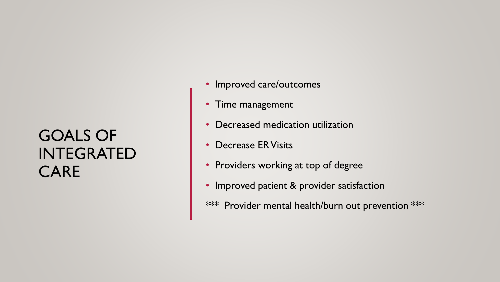### GOALS OF INTEGRATED CARE

- Improved care/outcomes
- Time management
- Decreased medication utilization
- Decrease ER Visits
- Providers working at top of degree
- Improved patient & provider satisfaction
- \*\*\* Provider mental health/burn out prevention \*\*\*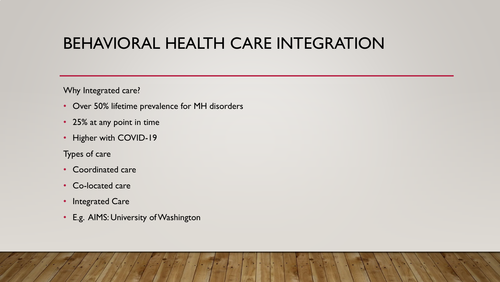#### BEHAVIORAL HEALTH CARE INTEGRATION

Why Integrated care?

- Over 50% lifetime prevalence for MH disorders
- 25% at any point in time
- Higher with COVID-19

Types of care

- Coordinated care
- Co-located care
- Integrated Care
- E.g. AIMS: University of Washington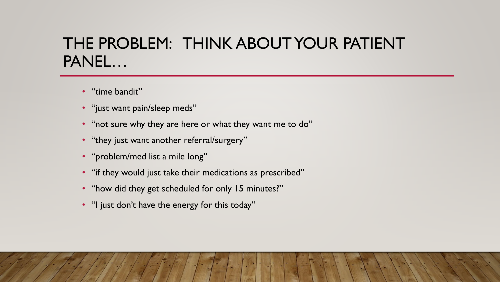#### THE PROBLEM: THINK ABOUT YOUR PATIENT PANEL…

- "time bandit"
- "just want pain/sleep meds"
- "not sure why they are here or what they want me to do"
- "they just want another referral/surgery"
- "problem/med list a mile long"
- "if they would just take their medications as prescribed"
- "how did they get scheduled for only 15 minutes?"
- "I just don't have the energy for this today"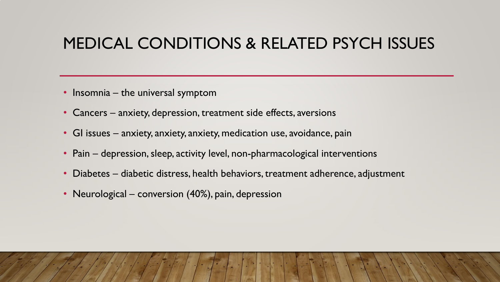#### MEDICAL CONDITIONS & RELATED PSYCH ISSUES

- Insomnia the universal symptom
- Cancers anxiety, depression, treatment side effects, aversions
- GI issues anxiety, anxiety, anxiety, medication use, avoidance, pain
- Pain depression, sleep, activity level, non-pharmacological interventions
- Diabetes diabetic distress, health behaviors, treatment adherence, adjustment
- Neurological conversion (40%), pain, depression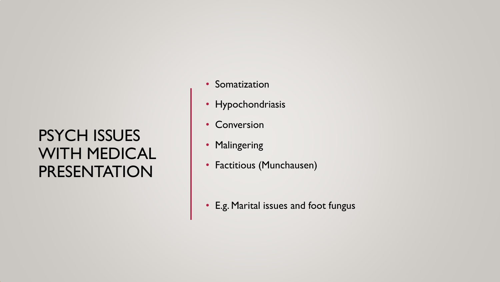## PSYCH ISSUES WITH MEDICAL PRESENTATION

- Somatization
- Hypochondriasis
- Conversion
- Malingering
- Factitious (Munchausen)

• E.g. Marital issues and foot fungus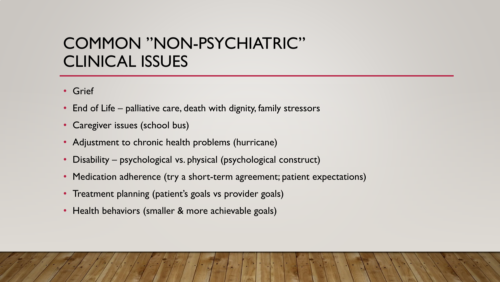#### COMMON "NON-PSYCHIATRIC" CLINICAL ISSUES

- Grief
- End of Life palliative care, death with dignity, family stressors
- Caregiver issues (school bus)
- Adjustment to chronic health problems (hurricane)
- Disability psychological vs. physical (psychological construct)
- Medication adherence (try a short-term agreement; patient expectations)
- Treatment planning (patient's goals vs provider goals)
- Health behaviors (smaller & more achievable goals)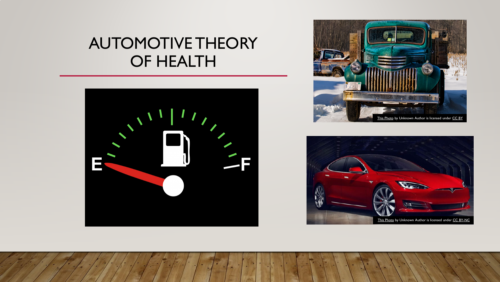#### AUTOMOTIVE THEORY OF HEALTH